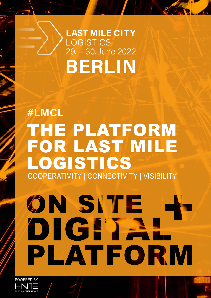# 29. - 30. June 2022 **LAST MILE CITY** LOGISTICS BERLIN

# THE PLATFORM FOR LAST MILE LOGISTICS COOPERATIVITY | CONNECTIVITY | VISIBILITY #LMCL

# **ON SITE** DIGPTA PLATFORM

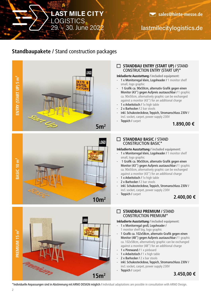29. + 30. June 2022 **LAST MILE CITY** LOGISTICS

# lastmilecitylogistics.de

## **Standbaupakete /** Stand construction packages





# **STANDBAU ENTRY (START UP) /** STAND CONSTRUCTION ENTRY (START UP)\*

#### **Inkludierte Ausstattung / included equipment:**

- 1 x Monitorregal klein, Logoheader / 1 monitor shelf small, logo graphic
- 1 Grafik ca. 90x50cm, alternativ Grafik gegen einen Monitor (43") gegen Aufpreis austauschbar / 1 graphic ca. 90x50cm, alternatively graphic can be exchanged against a monitor (43") for an additional charge
- 1 x Arbeitstisch / 1x high table
- 2 x Barhocker / 2 bar stools
- inkl. Schukosteckdose, Teppich, Stromanschluss 230V / incl. socket, carpet, power supply 230V
- Teppich / carpet

#### **STANDBAU BASIC /** STAND CONSTRUCTION BASIC\*

**Inkludierte Ausstattung / included equipment:**

- 1 x Monitorregal klein, Logoheader / 1 monitor shelf small, logo graphic
- 1 Grafik ca. 90x50cm, alternativ Grafik gegen einen Monitor (43") gegen Aufpreis austauschbar / 1 graphic ca. 90x50cm, alternatively graphic can be exchanged against a monitor (43") for an additional charge
- 1 x Arbeitstisch / 1x high table
- 2 x Barhocker / 2 bar stools
- inkl. Schukosteckdose, Teppich, Stromanschluss 230V / incl. socket, carpet, power supply 230V
- Teppich / carpet

**1.890,00 €**



#### **STANDBAU PREMIUM /** STAND CONSTRUCTION PREMIUM\*

#### **Inkludierte Ausstattung / included equipment:**

- 1 x Monitorregal groß, Logoheader / 1 monitor shelf big, logo graphic
- 1 Grafik ca. 102x58cm, alternativ Grafik gegen einen Monitor (48") gegen Aufpreis austauschbar / 1 graphic ca. 102x58cm, alternatively graphic can be exchanged against a monitor (48") for an additional charge
- 1 x Pinnwand / 1 x pinboard
- 1 x Arbeitstisch / 1 x high table
- 2 x Barhocker / 2 x bar stools
- inkl. Schukosteckdose, Teppich, Stromanschluss 230V / incl. socket, carpet, power supply 230V
- Teppich / carpet

#### **3.450,00 €**

\*Individuelle Anpassungen sind in Abstimmung mit ARNO DESIGN möglich / Individual adaptations are possible in consultation with ARNO Design.

**<sup>2.400,00 €</sup>**